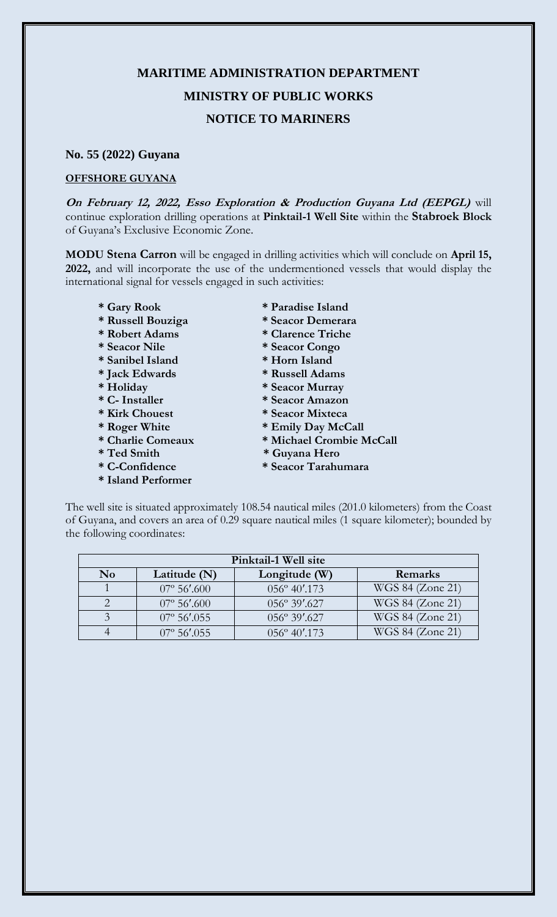## **MARITIME ADMINISTRATION DEPARTMENT MINISTRY OF PUBLIC WORKS NOTICE TO MARINERS**

## **No. 55 (2022) Guyana**

## **OFFSHORE GUYANA**

**On February 12, 2022, Esso Exploration & Production Guyana Ltd (EEPGL)** will continue exploration drilling operations at **Pinktail-1 Well Site** within the **Stabroek Block** of Guyana's Exclusive Economic Zone.

**MODU Stena Carron** will be engaged in drilling activities which will conclude on **April 15, 2022,** and will incorporate the use of the undermentioned vessels that would display the international signal for vessels engaged in such activities:

- 
- **\* Russell Bouziga \* Seacor Demerara**
- **\* Robert Adams \* Clarence Triche**
- 
- **\* Sanibel Island \* Horn Island**
- **\* Jack Edwards \* Russell Adams**
- 
- 
- 
- 
- 
- 
- 
- **\* Island Performer**
- **\* Gary Rook \* Paradise Island**
	-
	-
- **\* Seacor Nile \* Seacor Congo**
	-
	-
- **\* Holiday \* Seacor Murray**
- **\* C- Installer \* Seacor Amazon**
- **\* Kirk Chouest \* Seacor Mixteca** 
	-
- \* Roger White \* Emily Day McCall<br>\* Charlie Comeaux \* Michael Crombie N  $*$  Michael Crombie McCall
- **\* Ted Smith \* Guyana Hero**
- **\* C-Confidence \* Seacor Tarahumara**

The well site is situated approximately 108.54 nautical miles (201.0 kilometers) from the Coast of Guyana, and covers an area of 0.29 square nautical miles (1 square kilometer); bounded by the following coordinates:

| Pinktail-1 Well site |                       |                        |                  |
|----------------------|-----------------------|------------------------|------------------|
| N <sub>0</sub>       | Latitude $(N)$        | Longitude (W)          | Remarks          |
|                      | $07^{\circ} 56'$ .600 | 056° 40'.173           | WGS 84 (Zone 21) |
|                      | $07^{\circ} 56'$ .600 | 056° 39'.627           | WGS 84 (Zone 21) |
|                      | $07^{\circ}$ 56'.055  | $056^{\circ} 39'$ .627 | WGS 84 (Zone 21) |
|                      | $07^{\circ}$ 56', 055 | $0.56^{\circ}$ 40'.173 | WGS 84 (Zone 21) |